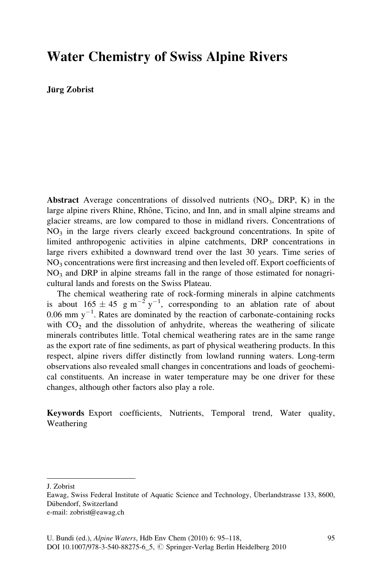# Water Chemistry of Swiss Alpine Rivers

#### Jürg Zobrist

Abstract Average concentrations of dissolved nutrients  $(NO<sub>3</sub>, DRP, K)$  in the large alpine rivers Rhine, Rhône, Ticino, and Inn, and in small alpine streams and glacier streams, are low compared to those in midland rivers. Concentrations of  $NO<sub>3</sub>$  in the large rivers clearly exceed background concentrations. In spite of limited anthropogenic activities in alpine catchments, DRP concentrations in large rivers exhibited a downward trend over the last 30 years. Time series of  $NO<sub>3</sub>$  concentrations were first increasing and then leveled off. Export coefficients of  $NO<sub>3</sub>$  and DRP in alpine streams fall in the range of those estimated for nonagricultural lands and forests on the Swiss Plateau.

The chemical weathering rate of rock-forming minerals in alpine catchments is about  $165 \pm 45$  g m<sup>-2</sup> y<sup>-1</sup>, corresponding to an ablation rate of about  $0.06$  mm y<sup>-1</sup>. Rates are dominated by the reaction of carbonate-containing rocks with  $CO<sub>2</sub>$  and the dissolution of anhydrite, whereas the weathering of silicate minerals contributes little. Total chemical weathering rates are in the same range as the export rate of fine sediments, as part of physical weathering products. In this respect, alpine rivers differ distinctly from lowland running waters. Long-term observations also revealed small changes in concentrations and loads of geochemical constituents. An increase in water temperature may be one driver for these changes, although other factors also play a role.

Keywords Export coefficients, Nutrients, Temporal trend, Water quality, Weathering

J. Zobrist

Eawag, Swiss Federal Institute of Aquatic Science and Technology, Überlandstrasse 133, 8600, Dübendorf, Switzerland e-mail: zobrist@eawag.ch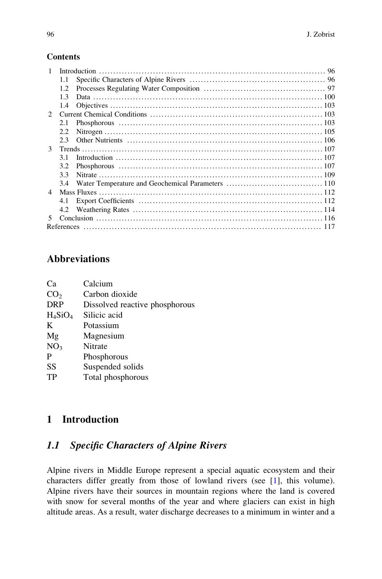#### **Contents**

| 1.1  |  |
|------|--|
| 1.2  |  |
| 13   |  |
| 1.4  |  |
|      |  |
| 2.1  |  |
| 2.2. |  |
| 2.3  |  |
|      |  |
| 31   |  |
| 3.2  |  |
| 3.3  |  |
| 3.4  |  |
|      |  |
| 4.1  |  |
|      |  |
|      |  |
|      |  |
|      |  |

## Abbreviations

| Ca              | Calcium                        |
|-----------------|--------------------------------|
| CO <sub>2</sub> | Carbon dioxide                 |
| <b>DRP</b>      | Dissolved reactive phosphorous |
| $H_4SiO_4$      | Silicic acid                   |
| K               | Potassium                      |
| Mg              | Magnesium                      |
| NO <sub>3</sub> | Nitrate                        |
| P               | Phosphorous                    |
| SS              | Suspended solids               |
| TP              | Total phosphorous              |
|                 |                                |

## 1 Introduction

## 1.1 Specific Characters of Alpine Rivers

Alpine rivers in Middle Europe represent a special aquatic ecosystem and their characters differ greatly from those of lowland rivers (see [\[1](#page-22-0)], this volume). Alpine rivers have their sources in mountain regions where the land is covered with snow for several months of the year and where glaciers can exist in high altitude areas. As a result, water discharge decreases to a minimum in winter and a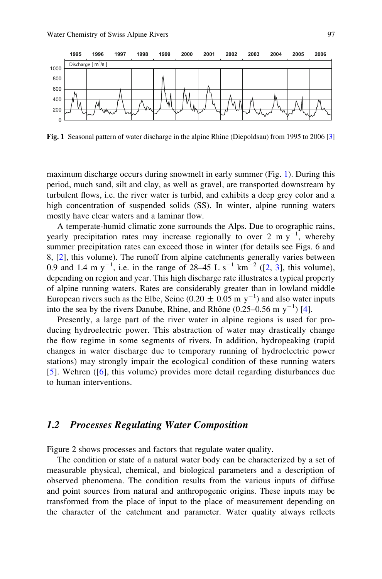

Fig. 1 Seasonal pattern of water discharge in the alpine Rhine (Diepoldsau) from 1995 to 2006 [\[3\]](#page-22-0)

maximum discharge occurs during snowmelt in early summer (Fig. 1). During this period, much sand, silt and clay, as well as gravel, are transported downstream by turbulent flows, i.e. the river water is turbid, and exhibits a deep grey color and a high concentration of suspended solids (SS). In winter, alpine running waters mostly have clear waters and a laminar flow.

A temperate-humid climatic zone surrounds the Alps. Due to orographic rains, yearly precipitation rates may increase regionally to over 2 m  $y^{-1}$ , whereby summer precipitation rates can exceed those in winter (for details see Figs. 6 and 8, [[2\]](#page-22-0), this volume). The runoff from alpine catchments generally varies between 0.9 and 1.4 m y<sup>-1</sup>, i.e. in the range of 28–45 L s<sup>-1</sup> km<sup>-2</sup> ([[2,](#page-22-0) [3\]](#page-22-0), this volume), depending on region and year. This high discharge rate illustrates a typical property of alpine running waters. Rates are considerably greater than in lowland middle European rivers such as the Elbe, Seine  $(0.20 \pm 0.05 \text{ m y}^{-1})$  and also water inputs into the sea by the rivers Danube, Rhine, and Rhône  $(0.25-0.56 \text{ m y}^{-1})$  [\[4](#page-22-0)].

Presently, a large part of the river water in alpine regions is used for producing hydroelectric power. This abstraction of water may drastically change the flow regime in some segments of rivers. In addition, hydropeaking (rapid changes in water discharge due to temporary running of hydroelectric power stations) may strongly impair the ecological condition of these running waters [\[5](#page-22-0)]. Wehren ([\[6](#page-22-0)], this volume) provides more detail regarding disturbances due to human interventions.

## 1.2 Processes Regulating Water Composition

Figure 2 shows processes and factors that regulate water quality.

The condition or state of a natural water body can be characterized by a set of measurable physical, chemical, and biological parameters and a description of observed phenomena. The condition results from the various inputs of diffuse and point sources from natural and anthropogenic origins. These inputs may be transformed from the place of input to the place of measurement depending on the character of the catchment and parameter. Water quality always reflects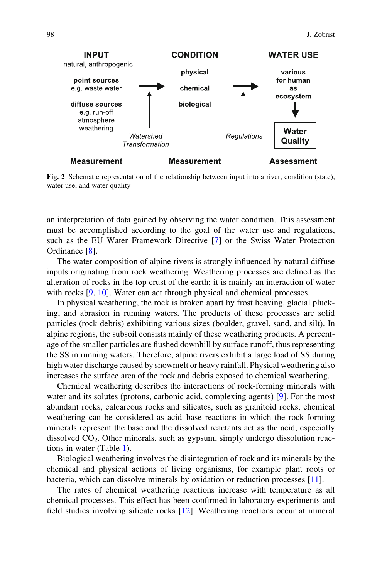<span id="page-3-0"></span>

Fig. 2 Schematic representation of the relationship between input into a river, condition (state), water use, and water quality

an interpretation of data gained by observing the water condition. This assessment must be accomplished according to the goal of the water use and regulations, such as the EU Water Framework Directive [[7\]](#page-22-0) or the Swiss Water Protection Ordinance [[8\]](#page-22-0).

The water composition of alpine rivers is strongly influenced by natural diffuse inputs originating from rock weathering. Weathering processes are defined as the alteration of rocks in the top crust of the earth; it is mainly an interaction of water with rocks [\[9](#page-22-0), [10](#page-22-0)]. Water can act through physical and chemical processes.

In physical weathering, the rock is broken apart by frost heaving, glacial plucking, and abrasion in running waters. The products of these processes are solid particles (rock debris) exhibiting various sizes (boulder, gravel, sand, and silt). In alpine regions, the subsoil consists mainly of these weathering products. A percentage of the smaller particles are flushed downhill by surface runoff, thus representing the SS in running waters. Therefore, alpine rivers exhibit a large load of SS during high water discharge caused by snowmelt or heavy rainfall. Physical weathering also increases the surface area of the rock and debris exposed to chemical weathering.

Chemical weathering describes the interactions of rock-forming minerals with water and its solutes (protons, carbonic acid, complexing agents) [\[9](#page-22-0)]. For the most abundant rocks, calcareous rocks and silicates, such as granitoid rocks, chemical weathering can be considered as acid–base reactions in which the rock-forming minerals represent the base and the dissolved reactants act as the acid, especially dissolved CO<sub>2</sub>. Other minerals, such as gypsum, simply undergo dissolution reactions in water (Table [1\)](#page-4-0).

Biological weathering involves the disintegration of rock and its minerals by the chemical and physical actions of living organisms, for example plant roots or bacteria, which can dissolve minerals by oxidation or reduction processes [\[11](#page-22-0)].

The rates of chemical weathering reactions increase with temperature as all chemical processes. This effect has been confirmed in laboratory experiments and field studies involving silicate rocks [[12\]](#page-22-0). Weathering reactions occur at mineral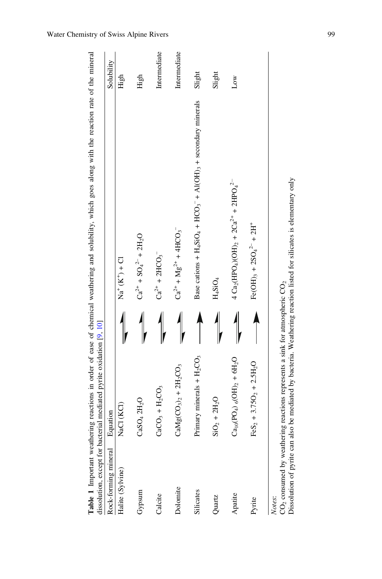<span id="page-4-0"></span>

| dissolution, except for ba- | cterial mediated pyrite oxidation [9, 10]            | Table 1 Important weathering reactions in order of ease of chemical weathering and solubility, which goes along with the reaction rate of the mineral |              |
|-----------------------------|------------------------------------------------------|-------------------------------------------------------------------------------------------------------------------------------------------------------|--------------|
| Rock-forming mineral        | Equation                                             |                                                                                                                                                       | Solubility   |
| Halite (Sylvine)            | NaCl (KCl)                                           | $Na^+(K^+) + Cl$                                                                                                                                      | High         |
| Gypsum                      | $\frac{1}{r}$<br>CaSO <sub>4</sub> 2H <sub>2</sub> O | $Ca^{2+} + SO_4^{2-} + 2H_2O$                                                                                                                         | High         |
| Calcite                     | $CaCO3 + H2CO3$                                      | $Ca^{2+} + 2HCO3$                                                                                                                                     | Intermediate |
| Dolomite                    | $CaMg(CO3)2 + 2H2CO3$                                | $Ca^{2+} + Mg^{2+} + 4HCO_3^-$                                                                                                                        | Intermediate |
| Silicates                   | Primary minerals + $H_2CO_3$                         | Base cations + H <sub>4</sub> SiO <sub>4</sub> + HCO <sub>3</sub> <sup>-</sup> + Al(OH) <sub>3</sub> + secondary minerals                             | Slight       |
| Quartz                      | $SiO2 + 2H2O$                                        | $H_4SiO_4$                                                                                                                                            | Slight       |
| Apatite                     | $Ca_{10}(PO_4)$ $_6(OH)_2 + 6H_2O$                   | 4 Ca <sub>2</sub> (HPO <sub>4</sub> )(OH) <sub>2</sub> + 2Ca <sup>2+</sup> + 2HPO <sub>4</sub> <sup>2-</sup>                                          | Low          |
| Pyrite                      | $FeS2 + 3.75O2 + 2.5H2O$                             | $Fe(OH)_{3} + 2SO_{4}^{2-} + 2H^{+}$                                                                                                                  |              |
| Notes:                      |                                                      |                                                                                                                                                       |              |

CO<sub>2</sub> consumed by weathering reactions represents a sink for atmospheric  $CO_2$ <br>Dissolution of pyrite can also be mediated by bacteria. Weathering reaction listed for silicates is elementary only Dissolution of pyrite can also be mediated by bacteria. Weathering reaction listed for silicates is elementary only CO<sub>2</sub> consumed by weathering reactions represents a sink for atmospheric  $CO<sub>2</sub>$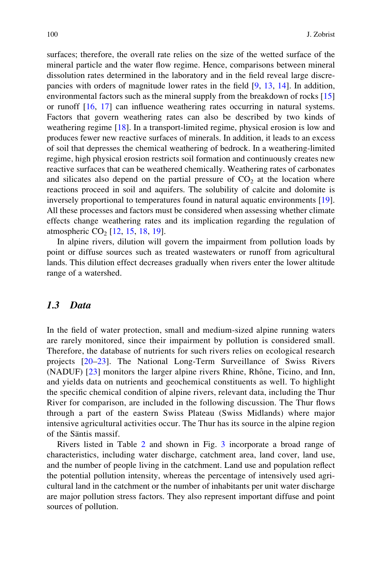surfaces; therefore, the overall rate relies on the size of the wetted surface of the mineral particle and the water flow regime. Hence, comparisons between mineral dissolution rates determined in the laboratory and in the field reveal large discrepancies with orders of magnitude lower rates in the field [[9,](#page-22-0) [13,](#page-22-0) [14](#page-22-0)]. In addition, environmental factors such as the mineral supply from the breakdown of rocks [\[15](#page-22-0)] or runoff [\[16](#page-23-0), [17\]](#page-23-0) can influence weathering rates occurring in natural systems. Factors that govern weathering rates can also be described by two kinds of weathering regime [\[18](#page-23-0)]. In a transport-limited regime, physical erosion is low and produces fewer new reactive surfaces of minerals. In addition, it leads to an excess of soil that depresses the chemical weathering of bedrock. In a weathering-limited regime, high physical erosion restricts soil formation and continuously creates new reactive surfaces that can be weathered chemically. Weathering rates of carbonates and silicates also depend on the partial pressure of  $CO<sub>2</sub>$  at the location where reactions proceed in soil and aquifers. The solubility of calcite and dolomite is inversely proportional to temperatures found in natural aquatic environments [[19\]](#page-23-0). All these processes and factors must be considered when assessing whether climate effects change weathering rates and its implication regarding the regulation of atmospheric  $CO<sub>2</sub>$  [\[12](#page-22-0), [15,](#page-22-0) [18,](#page-23-0) [19](#page-23-0)].

In alpine rivers, dilution will govern the impairment from pollution loads by point or diffuse sources such as treated wastewaters or runoff from agricultural lands. This dilution effect decreases gradually when rivers enter the lower altitude range of a watershed.

## 1.3 Data

In the field of water protection, small and medium-sized alpine running waters are rarely monitored, since their impairment by pollution is considered small. Therefore, the database of nutrients for such rivers relies on ecological research projects [[20–23](#page-23-0)]. The National Long-Term Surveillance of Swiss Rivers (NADUF) [[23](#page-23-0)] monitors the larger alpine rivers Rhine, Rhône, Ticino, and Inn, and yields data on nutrients and geochemical constituents as well. To highlight the specific chemical condition of alpine rivers, relevant data, including the Thur River for comparison, are included in the following discussion. The Thur flows through a part of the eastern Swiss Plateau (Swiss Midlands) where major intensive agricultural activities occur. The Thur has its source in the alpine region of the Säntis massif.

Rivers listed in Table [2](#page-6-0) and shown in Fig. [3](#page-3-0) incorporate a broad range of characteristics, including water discharge, catchment area, land cover, land use, and the number of people living in the catchment. Land use and population reflect the potential pollution intensity, whereas the percentage of intensively used agricultural land in the catchment or the number of inhabitants per unit water discharge are major pollution stress factors. They also represent important diffuse and point sources of pollution.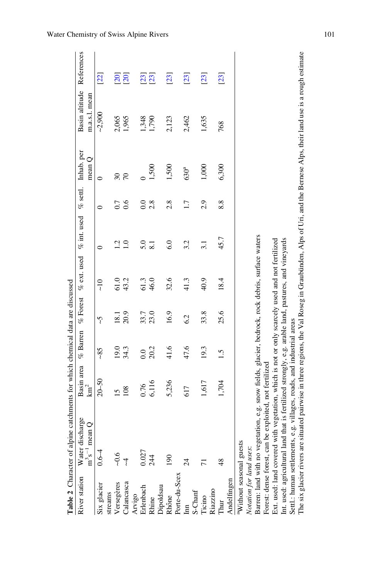<span id="page-6-0"></span>

|                           | Table 2 Character of alpine catchments for which chemical data are discussed                        |                                                                        |            |            |                                                   |                |     |               |                                            |                   |
|---------------------------|-----------------------------------------------------------------------------------------------------|------------------------------------------------------------------------|------------|------------|---------------------------------------------------|----------------|-----|---------------|--------------------------------------------|-------------------|
| River station             | Water discharge<br>$m^3s^{-1}$ mean Q                                                               | Basin area<br>$km^2$                                                   | $%$ Barren | $%$ Forest | $%$ ext. used $%$ int. used $%$ settl. Inhab. per |                |     | mean Q        | Basin altitude References<br>m.a.s.l. mean |                   |
| Six glacier               | $0.6 - 4$                                                                                           | $20 - 50$                                                              | $-85$      | ら          | $\frac{1}{\sqrt{2}}$                              | 0              | 0   | 0             | $-2,900$                                   | [22]              |
| streams                   |                                                                                                     |                                                                        |            |            |                                                   |                |     |               |                                            |                   |
| Versegères                | $-0.6$                                                                                              | $\overline{5}$                                                         | 19.0       | 18.1       | 61.0                                              | $\overline{c}$ | 0.7 | $\Im$         | 2,065                                      | [20]              |
| Calancasca                |                                                                                                     | 108                                                                    | 34.3       | 20.9       | 43.2                                              | $\Xi$          | 0.6 | $\mathcal{L}$ | 1,965                                      | $\overline{[20]}$ |
| Arvigo                    |                                                                                                     |                                                                        |            |            |                                                   |                |     |               |                                            |                   |
| Erlenbach                 |                                                                                                     | 0.76                                                                   | 0.0        | 33.7       | 61.3                                              | 5.0            | 0.0 |               | 1,348                                      | [23]              |
| Rhine                     | 244                                                                                                 | 6,116                                                                  | 20.2       | 23.0       | 46.0                                              | 8.1            | 2.8 | 1,500         | 1,790                                      | [23]              |
| <i>ipoldsau</i>           |                                                                                                     |                                                                        |            |            |                                                   |                |     |               |                                            |                   |
| Rhône                     | 190                                                                                                 | 5,236                                                                  | 41.6       | 16.9       | 32.6                                              | 6.0            | 2.8 | 1,500         | 2,123                                      | [23]              |
| Porte-du-Scex             |                                                                                                     |                                                                        |            |            |                                                   |                |     |               |                                            |                   |
| $\mathbf{m}$              | 24                                                                                                  | 617                                                                    | 47.6       | 6.2        | 41.3                                              | 3.2            | 1.7 | 630ª          | 2,462                                      | [23]              |
| S-Chanf                   |                                                                                                     |                                                                        |            |            |                                                   |                |     |               |                                            |                   |
| Ticino                    |                                                                                                     | 1,617                                                                  | 19.3       | 33.8       | 40.9                                              | 3.1            | 2.9 | 1,000         | 1,635                                      | [23]              |
| Riazzino                  |                                                                                                     |                                                                        |            |            |                                                   |                |     |               |                                            |                   |
| hur                       |                                                                                                     | 1,704                                                                  | 1.5        | 25.6       | 18.4                                              | 45.7           | 8.8 | 6,300         | 768                                        | [23]              |
| Andelfingen               |                                                                                                     |                                                                        |            |            |                                                   |                |     |               |                                            |                   |
| aWithout seasonal guests  |                                                                                                     |                                                                        |            |            |                                                   |                |     |               |                                            |                   |
| Notation for land uses:   |                                                                                                     |                                                                        |            |            |                                                   |                |     |               |                                            |                   |
|                           | Barren: land with no vegetation, e.g. snow fields, glacier, bedrock, rock debris, surface waters    |                                                                        |            |            |                                                   |                |     |               |                                            |                   |
| Forest: dense forest, can |                                                                                                     | be exploited, not fertilized                                           |            |            |                                                   |                |     |               |                                            |                   |
| Ext. used: land covered   |                                                                                                     | with vegetation, which is not or only scarcely used and not fertilized |            |            |                                                   |                |     |               |                                            |                   |
|                           | Int. used: agricultural land that is fertilized strongly, e.g. arable land, pastures, and vineyards |                                                                        |            |            |                                                   |                |     |               |                                            |                   |

Settl.: human settlements, e.g. villages, roads, and industrial areas

Settl.: human settlements, e.g. villages, roads, and industrial areas<br>The six glacier rivers are situated pairwise in three regions, the Val Roseg in Graubünden, Alps of Uri, and the Bernese Alps, their land use is a rough The six glacier rivers are situated pairwise in three regions, the Val Roseg in Graubunden, Alps of Uri, and the Bernese Alps, their land use is a rough estimate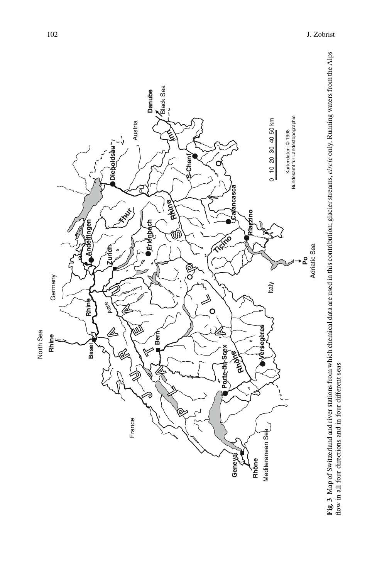<span id="page-7-0"></span>

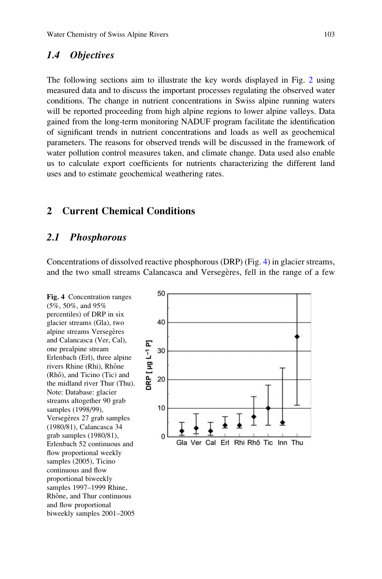## <span id="page-8-0"></span>1.4 Objectives

The following sections aim to illustrate the key words displayed in Fig. [2](#page-7-0) using measured data and to discuss the important processes regulating the observed water conditions. The change in nutrient concentrations in Swiss alpine running waters will be reported proceeding from high alpine regions to lower alpine valleys. Data gained from the long-term monitoring NADUF program facilitate the identification of significant trends in nutrient concentrations and loads as well as geochemical parameters. The reasons for observed trends will be discussed in the framework of water pollution control measures taken, and climate change. Data used also enable us to calculate export coefficients for nutrients characterizing the different land uses and to estimate geochemical weathering rates.

## 2 Current Chemical Conditions

## 2.1 Phosphorous

Concentrations of dissolved reactive phosphorous (DRP) (Fig. 4) in glacier streams, and the two small streams Calancasca and Versegeres, fell in the range of a few

Fig. 4 Concentration ranges (5%, 50%, and 95% percentiles) of DRP in six glacier streams (Gla), two alpine streams Versegères and Calancasca (Ver, Cal), one prealpine stream Erlenbach (Erl), three alpine rivers Rhine (Rhi), Rhône (Rhô), and Ticino (Tic) and the midland river Thur (Thu). Note: Database: glacier streams altogether 90 grab samples (1998/99), Versegères 27 grab samples (1980/81), Calancasca 34 grab samples (1980/81), Erlenbach 52 continuous and flow proportional weekly samples (2005), Ticino continuous and flow proportional biweekly samples 1997–1999 Rhine, Rhône, and Thur continuous and flow proportional biweekly samples 2001–2005

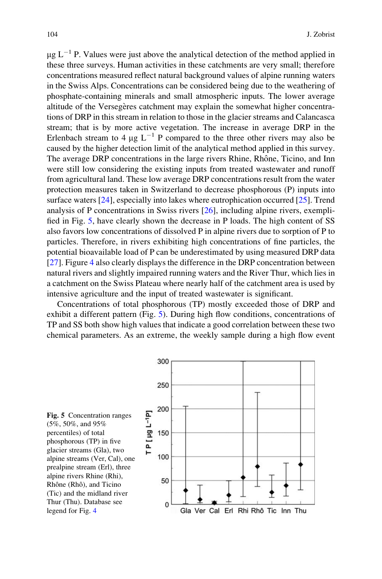<span id="page-9-0"></span> $\mu$ g L<sup>-1</sup> P. Values were just above the analytical detection of the method applied in these three surveys. Human activities in these catchments are very small; therefore concentrations measured reflect natural background values of alpine running waters in the Swiss Alps. Concentrations can be considered being due to the weathering of phosphate-containing minerals and small atmospheric inputs. The lower average altitude of the Versegeres catchment may explain the somewhat higher concentrations of DRP in this stream in relation to those in the glacier streams and Calancasca stream; that is by more active vegetation. The increase in average DRP in the Erlenbach stream to 4  $\mu$ g L<sup>-1</sup> P compared to the three other rivers may also be caused by the higher detection limit of the analytical method applied in this survey. The average DRP concentrations in the large rivers Rhine, Rhône, Ticino, and Inn were still low considering the existing inputs from treated wastewater and runoff from agricultural land. These low average DRP concentrations result from the water protection measures taken in Switzerland to decrease phosphorous (P) inputs into surface waters [\[24](#page-23-0)], especially into lakes where eutrophication occurred [[25\]](#page-23-0). Trend analysis of P concentrations in Swiss rivers [\[26](#page-23-0)], including alpine rivers, exemplified in Fig. 5, have clearly shown the decrease in P loads. The high content of SS also favors low concentrations of dissolved P in alpine rivers due to sorption of P to particles. Therefore, in rivers exhibiting high concentrations of fine particles, the potential bioavailable load of P can be underestimated by using measured DRP data [\[27](#page-23-0)]. Figure [4](#page-8-0) also clearly displays the difference in the DRP concentration between natural rivers and slightly impaired running waters and the River Thur, which lies in a catchment on the Swiss Plateau where nearly half of the catchment area is used by intensive agriculture and the input of treated wastewater is significant.

Concentrations of total phosphorous (TP) mostly exceeded those of DRP and exhibit a different pattern (Fig. [5](#page-10-0)). During high flow conditions, concentrations of TP and SS both show high values that indicate a good correlation between these two chemical parameters. As an extreme, the weekly sample during a high flow event

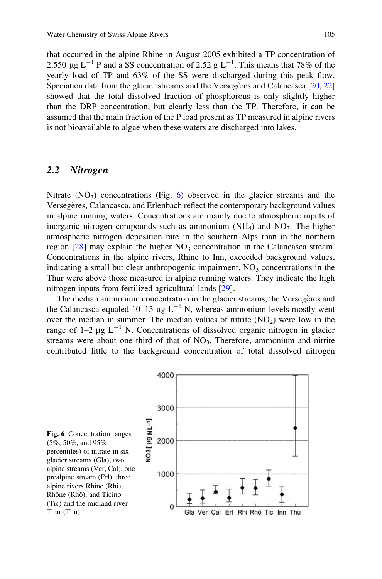<span id="page-10-0"></span>that occurred in the alpine Rhine in August 2005 exhibited a TP concentration of 2,550  $\mu$ g L<sup>-1</sup> P and a SS concentration of 2.52 g L<sup>-1</sup>. This means that 78% of the yearly load of TP and 63% of the SS were discharged during this peak flow. Speciation data from the glacier streams and the Versegeres and Calancasca  $[20, 22]$  $[20, 22]$  $[20, 22]$  $[20, 22]$  $[20, 22]$ showed that the total dissolved fraction of phosphorous is only slightly higher than the DRP concentration, but clearly less than the TP. Therefore, it can be assumed that the main fraction of the P load present as TP measured in alpine rivers is not bioavailable to algae when these waters are discharged into lakes.

## 2.2 Nitrogen

Nitrate  $(NO_3)$  concentrations (Fig. [6](#page-11-0)) observed in the glacier streams and the Versegères, Calancasca, and Erlenbach reflect the contemporary background values in alpine running waters. Concentrations are mainly due to atmospheric inputs of inorganic nitrogen compounds such as ammonium  $(NH_4)$  and  $NO_3$ . The higher atmospheric nitrogen deposition rate in the southern Alps than in the northern region  $[28]$  $[28]$  may explain the higher  $NO<sub>3</sub>$  concentration in the Calancasca stream. Concentrations in the alpine rivers, Rhine to Inn, exceeded background values, indicating a small but clear anthropogenic impairment.  $NO<sub>3</sub>$  concentrations in the Thur were above those measured in alpine running waters. They indicate the high nitrogen inputs from fertilized agricultural lands [[29\]](#page-23-0).

The median ammonium concentration in the glacier streams, the Versegeres and the Calancasca equaled 10–15  $\mu$ g L<sup>-1</sup> N, whereas ammonium levels mostly went over the median in summer. The median values of nitrite  $(NO<sub>2</sub>)$  were low in the range of  $1-2 \mu g L^{-1} N$ . Concentrations of dissolved organic nitrogen in glacier streams were about one third of that of  $NO<sub>3</sub>$ . Therefore, ammonium and nitrite contributed little to the background concentration of total dissolved nitrogen

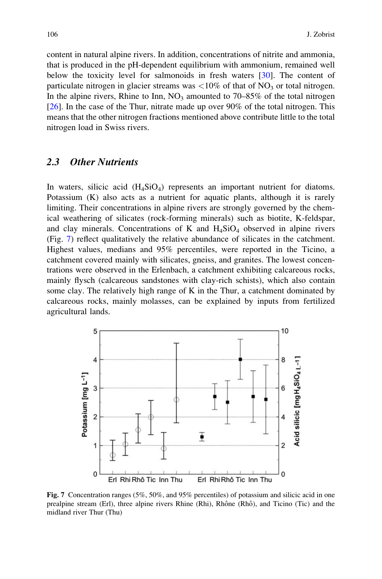<span id="page-11-0"></span>content in natural alpine rivers. In addition, concentrations of nitrite and ammonia, that is produced in the pH-dependent equilibrium with ammonium, remained well below the toxicity level for salmonoids in fresh waters [[30\]](#page-23-0). The content of particulate nitrogen in glacier streams was  $\langle 10\%$  of that of NO<sub>3</sub> or total nitrogen. In the alpine rivers, Rhine to Inn,  $NO_3$  amounted to 70–85% of the total nitrogen [\[26](#page-23-0)]. In the case of the Thur, nitrate made up over 90% of the total nitrogen. This means that the other nitrogen fractions mentioned above contribute little to the total nitrogen load in Swiss rivers.

## 2.3 Other Nutrients

In waters, silicic acid  $(H_4SiO_4)$  represents an important nutrient for diatoms. Potassium (K) also acts as a nutrient for aquatic plants, although it is rarely limiting. Their concentrations in alpine rivers are strongly governed by the chemical weathering of silicates (rock-forming minerals) such as biotite, K-feldspar, and clay minerals. Concentrations of K and  $H_4SiO_4$  observed in alpine rivers (Fig. [7\)](#page-9-0) reflect qualitatively the relative abundance of silicates in the catchment. Highest values, medians and 95% percentiles, were reported in the Ticino, a catchment covered mainly with silicates, gneiss, and granites. The lowest concentrations were observed in the Erlenbach, a catchment exhibiting calcareous rocks, mainly flysch (calcareous sandstones with clay-rich schists), which also contain some clay. The relatively high range of K in the Thur, a catchment dominated by calcareous rocks, mainly molasses, can be explained by inputs from fertilized agricultural lands.



Fig. 7 Concentration ranges (5%, 50%, and 95% percentiles) of potassium and silicic acid in one prealpine stream (Erl), three alpine rivers Rhine (Rhi), Rhône (Rhô), and Ticino (Tic) and the midland river Thur (Thu)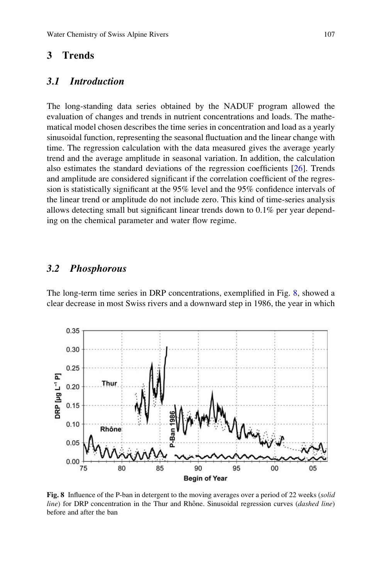## <span id="page-12-0"></span>3 Trends

### 3.1 Introduction

The long-standing data series obtained by the NADUF program allowed the evaluation of changes and trends in nutrient concentrations and loads. The mathematical model chosen describes the time series in concentration and load as a yearly sinusoidal function, representing the seasonal fluctuation and the linear change with time. The regression calculation with the data measured gives the average yearly trend and the average amplitude in seasonal variation. In addition, the calculation also estimates the standard deviations of the regression coefficients [\[26](#page-23-0)]. Trends and amplitude are considered significant if the correlation coefficient of the regression is statistically significant at the 95% level and the 95% confidence intervals of the linear trend or amplitude do not include zero. This kind of time-series analysis allows detecting small but significant linear trends down to 0.1% per year depending on the chemical parameter and water flow regime.

## 3.2 Phosphorous

The long-term time series in DRP concentrations, exemplified in Fig. 8, showed a clear decrease in most Swiss rivers and a downward step in 1986, the year in which



Fig. 8 Influence of the P-ban in detergent to the moving averages over a period of 22 weeks (solid line) for DRP concentration in the Thur and Rhône. Sinusoidal regression curves (dashed line) before and after the ban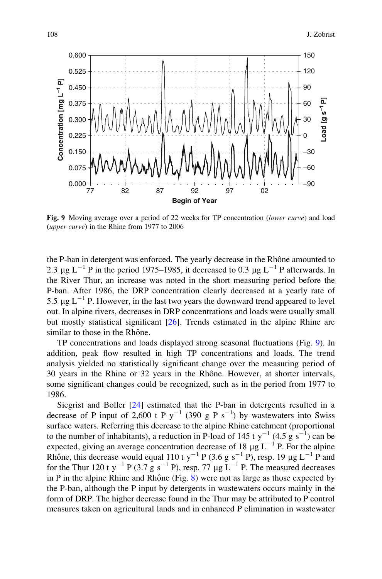

Fig. 9 Moving average over a period of 22 weeks for TP concentration *(lower curve)* and load (upper curve) in the Rhine from 1977 to 2006

the P-ban in detergent was enforced. The yearly decrease in the Rhône amounted to 2.3  $\mu$ g L<sup>-1</sup> P in the period 1975–1985, it decreased to 0.3  $\mu$ g L<sup>-1</sup> P afterwards. In the River Thur, an increase was noted in the short measuring period before the P-ban. After 1986, the DRP concentration clearly decreased at a yearly rate of 5.5  $\mu$ g L<sup>-1</sup> P. However, in the last two years the downward trend appeared to level out. In alpine rivers, decreases in DRP concentrations and loads were usually small but mostly statistical significant [[26\]](#page-23-0). Trends estimated in the alpine Rhine are similar to those in the Rhône.

TP concentrations and loads displayed strong seasonal fluctuations (Fig. 9). In addition, peak flow resulted in high TP concentrations and loads. The trend analysis yielded no statistically significant change over the measuring period of 30 years in the Rhine or 32 years in the Rhône. However, at shorter intervals, some significant changes could be recognized, such as in the period from 1977 to 1986.

Siegrist and Boller [[24\]](#page-23-0) estimated that the P-ban in detergents resulted in a decrease of P input of 2,600 t P y<sup>-1</sup> (390 g P s<sup>-1</sup>) by wastewaters into Swiss surface waters. Referring this decrease to the alpine Rhine catchment (proportional to the number of inhabitants), a reduction in P-load of 145 t  $y^{-1}$  (4.5 g s<sup>-1</sup>) can be expected, giving an average concentration decrease of 18  $\mu$ g L<sup>-1</sup> P. For the alpine Rhône, this decrease would equal 110 t y<sup>-1</sup> P (3.6 g s<sup>-1</sup> P), resp. 19 µg L<sup>-1</sup> P and for the Thur 120 t y<sup>-1</sup> P (3.7 g s<sup>-1</sup> P), resp. 77  $\mu$ g L<sup>-1</sup> P. The measured decreases in P in the alpine Rhine and Rhône (Fig.  $8$ ) were not as large as those expected by the P-ban, although the P input by detergents in wastewaters occurs mainly in the form of DRP. The higher decrease found in the Thur may be attributed to P control measures taken on agricultural lands and in enhanced P elimination in wastewater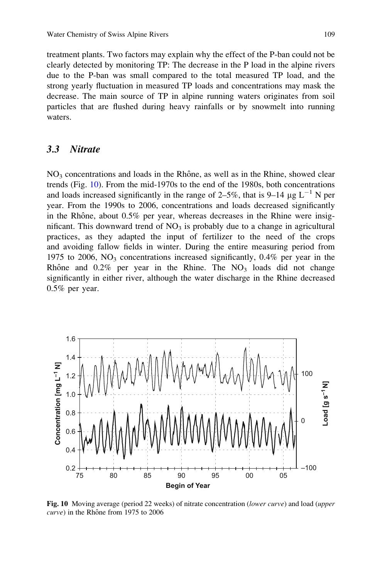treatment plants. Two factors may explain why the effect of the P-ban could not be clearly detected by monitoring TP: The decrease in the P load in the alpine rivers due to the P-ban was small compared to the total measured TP load, and the strong yearly fluctuation in measured TP loads and concentrations may mask the decrease. The main source of TP in alpine running waters originates from soil particles that are flushed during heavy rainfalls or by snowmelt into running waters.

#### 3.3 Nitrate

 $NO<sub>3</sub>$  concentrations and loads in the Rhône, as well as in the Rhine, showed clear trends (Fig. 10). From the mid-1970s to the end of the 1980s, both concentrations and loads increased significantly in the range of 2–5%, that is 9–14  $\mu$ g L<sup>-1</sup> N per year. From the 1990s to 2006, concentrations and loads decreased significantly in the Rhône, about  $0.5\%$  per year, whereas decreases in the Rhine were insignificant. This downward trend of  $NO<sub>3</sub>$  is probably due to a change in agricultural practices, as they adapted the input of fertilizer to the need of the crops and avoiding fallow fields in winter. During the entire measuring period from 1975 to 2006,  $NO<sub>3</sub>$  concentrations increased significantly, 0.4% per year in the Rhône and  $0.2\%$  per year in the Rhine. The NO<sub>3</sub> loads did not change significantly in either river, although the water discharge in the Rhine decreased 0.5% per year.



Fig. 10 Moving average (period 22 weeks) of nitrate concentration (lower curve) and load (upper  $curve$ ) in the Rhône from 1975 to 2006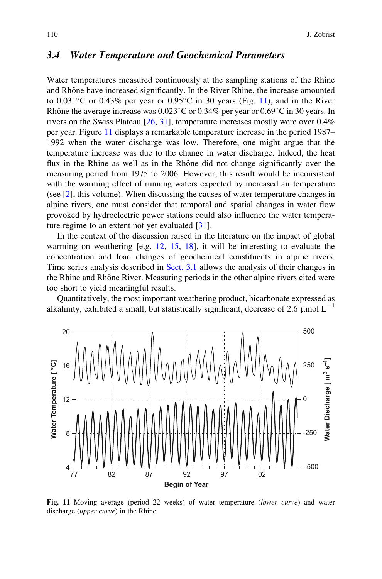## 3.4 Water Temperature and Geochemical Parameters

Water temperatures measured continuously at the sampling stations of the Rhine and Rhône have increased significantly. In the River Rhine, the increase amounted to  $0.031^{\circ}$ C or  $0.43\%$  per year or  $0.95^{\circ}$ C in 30 years (Fig. 11), and in the River Rhône the average increase was  $0.023^{\circ}$ C or  $0.34\%$  per year or  $0.69^{\circ}$ C in 30 years. In rivers on the Swiss Plateau [\[26](#page-23-0), [31\]](#page-23-0), temperature increases mostly were over 0.4% per year. Figure 11 displays a remarkable temperature increase in the period 1987– 1992 when the water discharge was low. Therefore, one might argue that the temperature increase was due to the change in water discharge. Indeed, the heat flux in the Rhine as well as in the Rhône did not change significantly over the measuring period from 1975 to 2006. However, this result would be inconsistent with the warming effect of running waters expected by increased air temperature (see [[2\]](#page-22-0), this volume). When discussing the causes of water temperature changes in alpine rivers, one must consider that temporal and spatial changes in water flow provoked by hydroelectric power stations could also influence the water temperature regime to an extent not yet evaluated [\[31](#page-23-0)].

In the context of the discussion raised in the literature on the impact of global warming on weathering [e.g. [12](#page-22-0), [15,](#page-22-0) [18\]](#page-23-0), it will be interesting to evaluate the concentration and load changes of geochemical constituents in alpine rivers. Time series analysis described in Sect. 3.1 allows the analysis of their changes in the Rhine and Rhône River. Measuring periods in the other alpine rivers cited were too short to yield meaningful results.

Quantitatively, the most important weathering product, bicarbonate expressed as alkalinity, exhibited a small, but statistically significant, decrease of 2.6  $\mu$ mol L<sup>-1</sup>



Fig. 11 Moving average (period 22 weeks) of water temperature (lower curve) and water discharge *(upper curve)* in the Rhine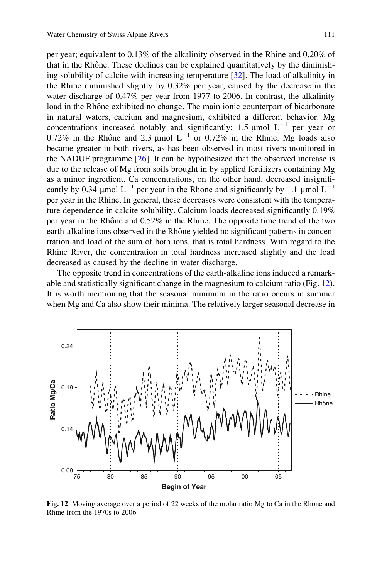per year; equivalent to 0.13% of the alkalinity observed in the Rhine and 0.20% of that in the Rhône. These declines can be explained quantitatively by the diminishing solubility of calcite with increasing temperature [[32\]](#page-23-0). The load of alkalinity in the Rhine diminished slightly by 0.32% per year, caused by the decrease in the water discharge of 0.47% per year from 1977 to 2006. In contrast, the alkalinity load in the Rhône exhibited no change. The main ionic counterpart of bicarbonate in natural waters, calcium and magnesium, exhibited a different behavior. Mg concentrations increased notably and significantly; 1.5  $\mu$ mol L<sup>-1</sup> per year or 0.72% in the Rhône and 2.3 umol  $L^{-1}$  or 0.72% in the Rhine. Mg loads also became greater in both rivers, as has been observed in most rivers monitored in the NADUF programme [\[26](#page-23-0)]. It can be hypothesized that the observed increase is due to the release of Mg from soils brought in by applied fertilizers containing Mg as a minor ingredient. Ca concentrations, on the other hand, decreased insignificantly by 0.34 µmol  $L^{-1}$  per year in the Rhone and significantly by 1.1 µmol  $L^{-1}$ per year in the Rhine. In general, these decreases were consistent with the temperature dependence in calcite solubility. Calcium loads decreased significantly 0.19% per year in the Rhône and  $0.52\%$  in the Rhine. The opposite time trend of the two earth-alkaline ions observed in the Rhône yielded no significant patterns in concentration and load of the sum of both ions, that is total hardness. With regard to the Rhine River, the concentration in total hardness increased slightly and the load decreased as caused by the decline in water discharge.

The opposite trend in concentrations of the earth-alkaline ions induced a remarkable and statistically significant change in the magnesium to calcium ratio (Fig. 12). It is worth mentioning that the seasonal minimum in the ratio occurs in summer when Mg and Ca also show their minima. The relatively larger seasonal decrease in



Fig. 12 Moving average over a period of 22 weeks of the molar ratio Mg to Ca in the Rhône and Rhine from the 1970s to 2006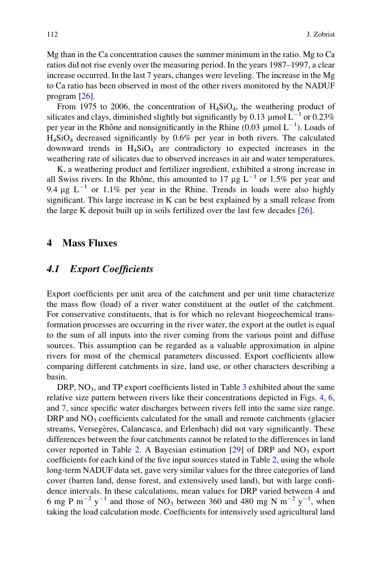Mg than in the Ca concentration causes the summer minimum in the ratio. Mg to Ca ratios did not rise evenly over the measuring period. In the years 1987–1997, a clear increase occurred. In the last 7 years, changes were leveling. The increase in the Mg to Ca ratio has been observed in most of the other rivers monitored by the NADUF program [[26\]](#page-23-0).

From 1975 to 2006, the concentration of  $H_4SiO_4$ , the weathering product of silicates and clays, diminished slightly but significantly by 0.13  $\mu$ mol L<sup>-1</sup> or 0.23% per year in the Rhône and nonsignificantly in the Rhine (0.03  $\mu$ mol L<sup>-1</sup>). Loads of  $H<sub>4</sub>SiO<sub>4</sub>$  decreased significantly by 0.6% per year in both rivers. The calculated downward trends in  $H_4SiO_4$  are contradictory to expected increases in the weathering rate of silicates due to observed increases in air and water temperatures.

K, a weathering product and fertilizer ingredient, exhibited a strong increase in all Swiss rivers. In the Rhône, this amounted to 17  $\mu$ g L<sup>-1</sup> or 1.5% per year and 9.4  $\mu$ g L<sup>-1</sup> or 1.1% per year in the Rhine. Trends in loads were also highly significant. This large increase in K can be best explained by a small release from the large K deposit built up in soils fertilized over the last few decades [\[26](#page-23-0)].

#### 4 Mass Fluxes

#### 4.1 Export Coefficients

Export coefficients per unit area of the catchment and per unit time characterize the mass flow (load) of a river water constituent at the outlet of the catchment. For conservative constituents, that is for which no relevant biogeochemical transformation processes are occurring in the river water, the export at the outlet is equal to the sum of all inputs into the river coming from the various point and diffuse sources. This assumption can be regarded as a valuable approximation in alpine rivers for most of the chemical parameters discussed. Export coefficients allow comparing different catchments in size, land use, or other characters describing a basin.

DRP,  $NO<sub>3</sub>$  $NO<sub>3</sub>$  $NO<sub>3</sub>$ , and TP export coefficients listed in Table 3 exhibited about the same relative size pattern between rivers like their concentrations depicted in Figs. [4,](#page-8-0) [6](#page-10-0), and [7](#page-11-0), since specific water discharges between rivers fell into the same size range. DRP and  $NO<sub>3</sub>$  coefficients calculated for the small and remote catchments (glacier streams, Versegères, Calancasca, and Erlenbach) did not vary significantly. These differences between the four catchments cannot be related to the differences in land cover reported in Table [2](#page-6-0). A Bayesian estimation  $[29]$  $[29]$  of DRP and NO<sub>3</sub> export coefficients for each kind of the five input sources stated in Table [2](#page-6-0), using the whole long-term NADUF data set, gave very similar values for the three categories of land cover (barren land, dense forest, and extensively used land), but with large confidence intervals. In these calculations, mean values for DRP varied between 4 and 6 mg P m<sup>-2</sup> y<sup>-1</sup> and those of NO<sub>3</sub> between 360 and 480 mg N m<sup>-2</sup> y<sup>-1</sup>, when taking the load calculation mode. Coefficients for intensively used agricultural land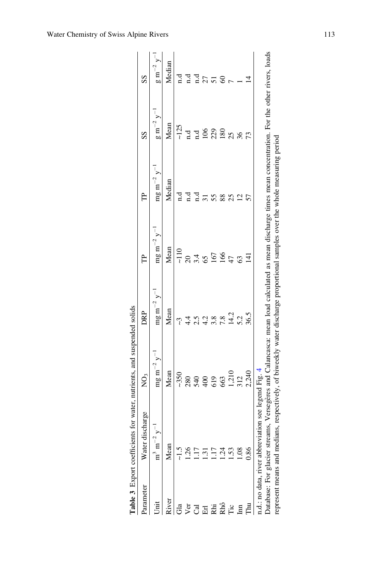<span id="page-18-0"></span>

| arameter                | discharge<br>Water                                                                                                                                                                                           | Ó,                                                                                                    | DRP                          |                              |                              | SS                | SS                                     |
|-------------------------|--------------------------------------------------------------------------------------------------------------------------------------------------------------------------------------------------------------|-------------------------------------------------------------------------------------------------------|------------------------------|------------------------------|------------------------------|-------------------|----------------------------------------|
|                         | $m^3 m^{-2} v^{-1}$                                                                                                                                                                                          | mg m $^{-2}$ v <sup>--</sup>                                                                          | mg m $^{-2}$ v <sup>--</sup> | mg m $^{-2}$ v <sup>-1</sup> | mg m $^{-2}$ y <sup>-1</sup> | $g\,m^{-2}v^{-1}$ | $\rm{g} \; \rm{m}^{-2} \; \rm{v}^{-1}$ |
| iver                    | Mean                                                                                                                                                                                                         | Mean                                                                                                  | Mean                         | Mean                         | Median                       | Mean              | Median                                 |
| ಕೆ                      | $\sim$ 1.5                                                                                                                                                                                                   | ~250                                                                                                  | ್ರೆ                          | $\frac{110}{11}$             |                              | ~125              |                                        |
| Ver                     | 1.26                                                                                                                                                                                                         | 280                                                                                                   |                              | $\overline{a}$               |                              |                   |                                        |
| ನ                       | $\overline{17}$                                                                                                                                                                                              |                                                                                                       | ົ້                           | 3.4                          |                              | ਤੁ                | ਰ<br>ਵ                                 |
|                         | $\overline{.31}$                                                                                                                                                                                             | $540$<br>$40$<br>$50$                                                                                 | J.                           | 55                           |                              | కౖ                |                                        |
|                         | $\overline{17}$                                                                                                                                                                                              |                                                                                                       | 3.8                          | 167                          |                              | 229               |                                        |
| Rhô                     | 1.24                                                                                                                                                                                                         | 663                                                                                                   | 7.8                          | 89                           |                              | 180               |                                        |
| Γiο                     | 1.53                                                                                                                                                                                                         | 1,210                                                                                                 | 14.2                         | Ē                            |                              | 25                |                                        |
| $\mathbb{H}$            | 0.08                                                                                                                                                                                                         | 312                                                                                                   | 5.2                          | යි                           |                              |                   |                                        |
|                         | 0.86                                                                                                                                                                                                         | 2,240                                                                                                 | 36.5                         | 141                          |                              |                   |                                        |
|                         | atabase: For glacier streams, Versegeres and Calancasca: mean load calculated as mean discharge times mean concentration. For the other rivers, loads<br>i.d.: no data, river abbreviation see legend Fig. 4 |                                                                                                       |                              |                              |                              |                   |                                        |
| represent means and med |                                                                                                                                                                                                              | lians, respectively, of biweekly water discharge proportional samples over the whole measuring period |                              |                              |                              |                   |                                        |

Table 3 Export coefficients for water, nutrients, and suspended solids

Table 3 Export coefficients for water, nutrients, and suspended solids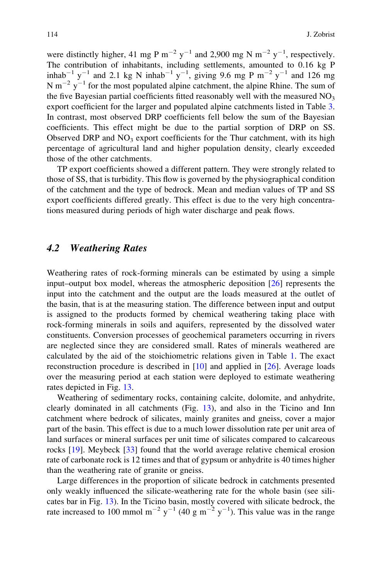were distinctly higher, 41 mg P m<sup>-2</sup> y<sup>-1</sup> and 2,900 mg N m<sup>-2</sup> y<sup>-1</sup>, respectively. The contribution of inhabitants, including settlements, amounted to 0.16 kg P inhab<sup>-1</sup> y<sup>-1</sup> and 2.1 kg N inhab<sup>-1</sup> y<sup>-1</sup>, giving 9.6 mg P m<sup>-2</sup> y<sup>-1</sup> and 126 mg N m<sup> $-2$ </sup> y<sup> $-1$ </sup> for the most populated alpine catchment, the alpine Rhine. The sum of the five Bayesian partial coefficients fitted reasonably well with the measured  $NO<sub>3</sub>$ export coefficient for the larger and populated alpine catchments listed in Table [3](#page-18-0). In contrast, most observed DRP coefficients fell below the sum of the Bayesian coefficients. This effect might be due to the partial sorption of DRP on SS. Observed DRP and  $NO<sub>3</sub>$  export coefficients for the Thur catchment, with its high percentage of agricultural land and higher population density, clearly exceeded those of the other catchments.

TP export coefficients showed a different pattern. They were strongly related to those of SS, that is turbidity. This flow is governed by the physiographical condition of the catchment and the type of bedrock. Mean and median values of TP and SS export coefficients differed greatly. This effect is due to the very high concentrations measured during periods of high water discharge and peak flows.

## 4.2 Weathering Rates

Weathering rates of rock-forming minerals can be estimated by using a simple input–output box model, whereas the atmospheric deposition [\[26](#page-23-0)] represents the input into the catchment and the output are the loads measured at the outlet of the basin, that is at the measuring station. The difference between input and output is assigned to the products formed by chemical weathering taking place with rock-forming minerals in soils and aquifers, represented by the dissolved water constituents. Conversion processes of geochemical parameters occurring in rivers are neglected since they are considered small. Rates of minerals weathered are calculated by the aid of the stoichiometric relations given in Table [1](#page-4-0). The exact reconstruction procedure is described in [\[10\]](#page-22-0) and applied in [[26\]](#page-23-0). Average loads over the measuring period at each station were deployed to estimate weathering rates depicted in Fig. [13.](#page-20-0)

Weathering of sedimentary rocks, containing calcite, dolomite, and anhydrite, clearly dominated in all catchments (Fig. [13](#page-20-0)), and also in the Ticino and Inn catchment where bedrock of silicates, mainly granites and gneiss, cover a major part of the basin. This effect is due to a much lower dissolution rate per unit area of land surfaces or mineral surfaces per unit time of silicates compared to calcareous rocks [\[19](#page-23-0)]. Meybeck [[33\]](#page-23-0) found that the world average relative chemical erosion rate of carbonate rock is 12 times and that of gypsum or anhydrite is 40 times higher than the weathering rate of granite or gneiss.

Large differences in the proportion of silicate bedrock in catchments presented only weakly influenced the silicate-weathering rate for the whole basin (see silicates bar in Fig. [13\)](#page-20-0). In the Ticino basin, mostly covered with silicate bedrock, the rate increased to 100 mmol m<sup>-2</sup> y<sup>-1</sup> (40 g m<sup>-2</sup> y<sup>-1</sup>). This value was in the range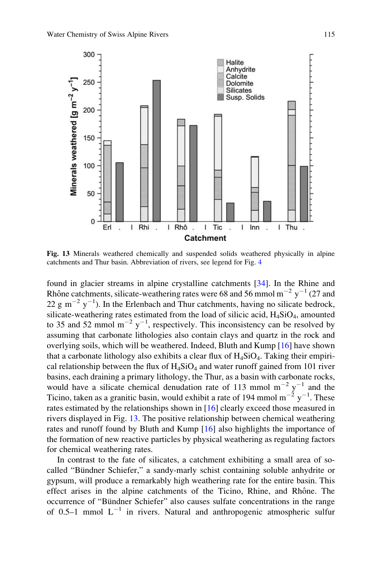<span id="page-20-0"></span>

Fig. 13 Minerals weathered chemically and suspended solids weathered physically in alpine catchments and Thur basin. Abbreviation of rivers, see legend for Fig. [4](#page-8-0)

found in glacier streams in alpine crystalline catchments [[34\]](#page-23-0). In the Rhine and Rhône catchments, silicate-weathering rates were 68 and 56 mmol m<sup>-2</sup> y<sup>-1</sup> (27 and 22 g m<sup>-2</sup> y<sup>-1</sup>). In the Erlenbach and Thur catchments, having no silicate bedrock, silicate-weathering rates estimated from the load of silicic acid,  $H_4SiO_4$ , amounted to 35 and 52 mmol  $m^{-2}$  y<sup>-1</sup>, respectively. This inconsistency can be resolved by assuming that carbonate lithologies also contain clays and quartz in the rock and overlying soils, which will be weathered. Indeed, Bluth and Kump [[16\]](#page-23-0) have shown that a carbonate lithology also exhibits a clear flux of  $H_4SiO_4$ . Taking their empirical relationship between the flux of  $H_4SiO_4$  and water runoff gained from 101 river basins, each draining a primary lithology, the Thur, as a basin with carbonate rocks, would have a silicate chemical denudation rate of 113 mmol  $m^{-2}$  y<sup>-1</sup> and the Ticino, taken as a granitic basin, would exhibit a rate of 194 mmol  $m^{-2}$  y<sup>-1</sup>. These rates estimated by the relationships shown in [\[16](#page-23-0)] clearly exceed those measured in rivers displayed in Fig. 13. The positive relationship between chemical weathering rates and runoff found by Bluth and Kump [[16\]](#page-23-0) also highlights the importance of the formation of new reactive particles by physical weathering as regulating factors for chemical weathering rates.

In contrast to the fate of silicates, a catchment exhibiting a small area of socalled "Bündner Schiefer," a sandy-marly schist containing soluble anhydrite or gypsum, will produce a remarkably high weathering rate for the entire basin. This effect arises in the alpine catchments of the Ticino, Rhine, and Rhône. The occurrence of "Bündner Schiefer" also causes sulfate concentrations in the range of 0.5–1 mmol  $L^{-1}$  in rivers. Natural and anthropogenic atmospheric sulfur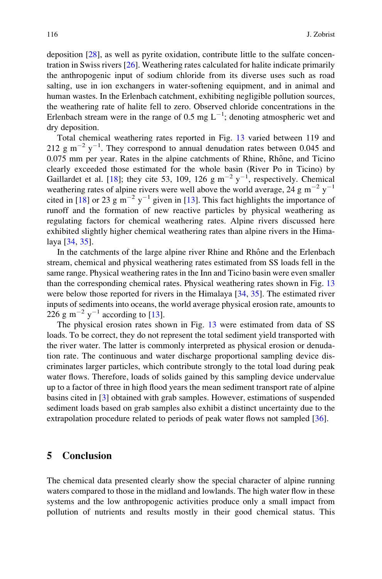deposition [[28\]](#page-23-0), as well as pyrite oxidation, contribute little to the sulfate concentration in Swiss rivers [\[26](#page-23-0)]. Weathering rates calculated for halite indicate primarily the anthropogenic input of sodium chloride from its diverse uses such as road salting, use in ion exchangers in water-softening equipment, and in animal and human wastes. In the Erlenbach catchment, exhibiting negligible pollution sources, the weathering rate of halite fell to zero. Observed chloride concentrations in the Erlenbach stream were in the range of 0.5 mg  $L^{-1}$ ; denoting atmospheric wet and dry deposition.

Total chemical weathering rates reported in Fig. [13](#page-20-0) varied between 119 and 212  $\rm g$  m<sup>-2</sup> y<sup>-1</sup>. They correspond to annual denudation rates between 0.045 and 0.075 mm per year. Rates in the alpine catchments of Rhine, Rhône, and Ticino clearly exceeded those estimated for the whole basin (River Po in Ticino) by Gaillardet et al. [\[18](#page-23-0)]; they cite 53, 109, 126  $\text{g m}^{-2} \text{ y}^{-1}$ , respectively. Chemical weathering rates of alpine rivers were well above the world average, 24 g m<sup>-2</sup> y<sup>-1</sup> cited in [[18\]](#page-23-0) or 23 g m<sup>-2</sup> y<sup>-1</sup> given in [[13\]](#page-22-0). This fact highlights the importance of runoff and the formation of new reactive particles by physical weathering as regulating factors for chemical weathering rates. Alpine rivers discussed here exhibited slightly higher chemical weathering rates than alpine rivers in the Himalaya [[34,](#page-23-0) [35\]](#page-23-0).

In the catchments of the large alpine river Rhine and Rhône and the Erlenbach stream, chemical and physical weathering rates estimated from SS loads fell in the same range. Physical weathering rates in the Inn and Ticino basin were even smaller than the corresponding chemical rates. Physical weathering rates shown in Fig. [13](#page-20-0) were below those reported for rivers in the Himalaya [\[34](#page-23-0), [35\]](#page-23-0). The estimated river inputs of sediments into oceans, the world average physical erosion rate, amounts to 226 g m<sup>-2</sup> y<sup>-1</sup> according to [\[13](#page-22-0)].

The physical erosion rates shown in Fig. [13](#page-20-0) were estimated from data of SS loads. To be correct, they do not represent the total sediment yield transported with the river water. The latter is commonly interpreted as physical erosion or denudation rate. The continuous and water discharge proportional sampling device discriminates larger particles, which contribute strongly to the total load during peak water flows. Therefore, loads of solids gained by this sampling device undervalue up to a factor of three in high flood years the mean sediment transport rate of alpine basins cited in [\[3](#page-22-0)] obtained with grab samples. However, estimations of suspended sediment loads based on grab samples also exhibit a distinct uncertainty due to the extrapolation procedure related to periods of peak water flows not sampled [[36\]](#page-23-0).

#### 5 Conclusion

The chemical data presented clearly show the special character of alpine running waters compared to those in the midland and lowlands. The high water flow in these systems and the low anthropogenic activities produce only a small impact from pollution of nutrients and results mostly in their good chemical status. This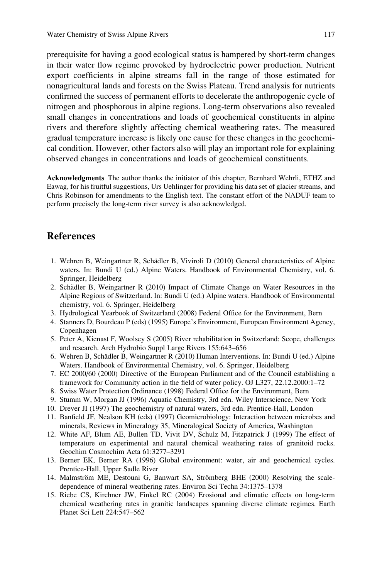<span id="page-22-0"></span>prerequisite for having a good ecological status is hampered by short-term changes in their water flow regime provoked by hydroelectric power production. Nutrient export coefficients in alpine streams fall in the range of those estimated for nonagricultural lands and forests on the Swiss Plateau. Trend analysis for nutrients confirmed the success of permanent efforts to decelerate the anthropogenic cycle of nitrogen and phosphorous in alpine regions. Long-term observations also revealed small changes in concentrations and loads of geochemical constituents in alpine rivers and therefore slightly affecting chemical weathering rates. The measured gradual temperature increase is likely one cause for these changes in the geochemical condition. However, other factors also will play an important role for explaining observed changes in concentrations and loads of geochemical constituents.

Acknowledgments The author thanks the initiator of this chapter, Bernhard Wehrli, ETHZ and Eawag, for his fruitful suggestions, Urs Uehlinger for providing his data set of glacier streams, and Chris Robinson for amendments to the English text. The constant effort of the NADUF team to perform precisely the long-term river survey is also acknowledged.

## References

- 1. Wehren B, Weingartner R, Schädler B, Viviroli D (2010) General characteristics of Alpine waters. In: Bundi U (ed.) Alpine Waters. Handbook of Environmental Chemistry, vol. 6. Springer, Heidelberg
- 2. Schädler B, Weingartner R (2010) Impact of Climate Change on Water Resources in the Alpine Regions of Switzerland. In: Bundi U (ed.) Alpine waters. Handbook of Environmental chemistry, vol. 6. Springer, Heidelberg
- 3. Hydrological Yearbook of Switzerland (2008) Federal Office for the Environment, Bern
- 4. Stanners D, Bourdeau P (eds) (1995) Europe's Environment, European Environment Agency, Copenhagen
- 5. Peter A, Kienast F, Woolsey S (2005) River rehabilitation in Switzerland: Scope, challenges and research. Arch Hydrobio Suppl Large Rivers 155:643–656
- 6. Wehren B, Schädler B, Weingartner R (2010) Human Interventions. In: Bundi U (ed.) Alpine Waters. Handbook of Environmental Chemistry, vol. 6. Springer, Heidelberg
- 7. EC 2000/60 (2000) Directive of the European Parliament and of the Council establishing a framework for Community action in the field of water policy. OJ L327, 22.12.2000:1–72
- 8. Swiss Water Protection Ordinance (1998) Federal Office for the Environment, Bern
- 9. Stumm W, Morgan JJ (1996) Aquatic Chemistry, 3rd edn. Wiley Interscience, New York
- 10. Drever JI (1997) The geochemistry of natural waters, 3rd edn. Prentice-Hall, London
- 11. Banfield JF, Nealson KH (eds) (1997) Geomicrobiology: Interaction between microbes and minerals, Reviews in Mineralogy 35, Mineralogical Society of America, Washington
- 12. White AF, Blum AE, Bullen TD, Vivit DV, Schulz M, Fitzpatrick J (1999) The effect of temperature on experimental and natural chemical weathering rates of granitoid rocks. Geochim Cosmochim Acta 61:3277–3291
- 13. Berner EK, Berner RA (1996) Global environment: water, air and geochemical cycles. Prentice-Hall, Upper Sadle River
- 14. Malmström ME, Destouni G, Banwart SA, Strömberg BHE (2000) Resolving the scaledependence of mineral weathering rates. Environ Sci Techn 34:1375–1378
- 15. Riebe CS, Kirchner JW, Finkel RC (2004) Erosional and climatic effects on long-term chemical weathering rates in granitic landscapes spanning diverse climate regimes. Earth Planet Sci Lett 224:547–562